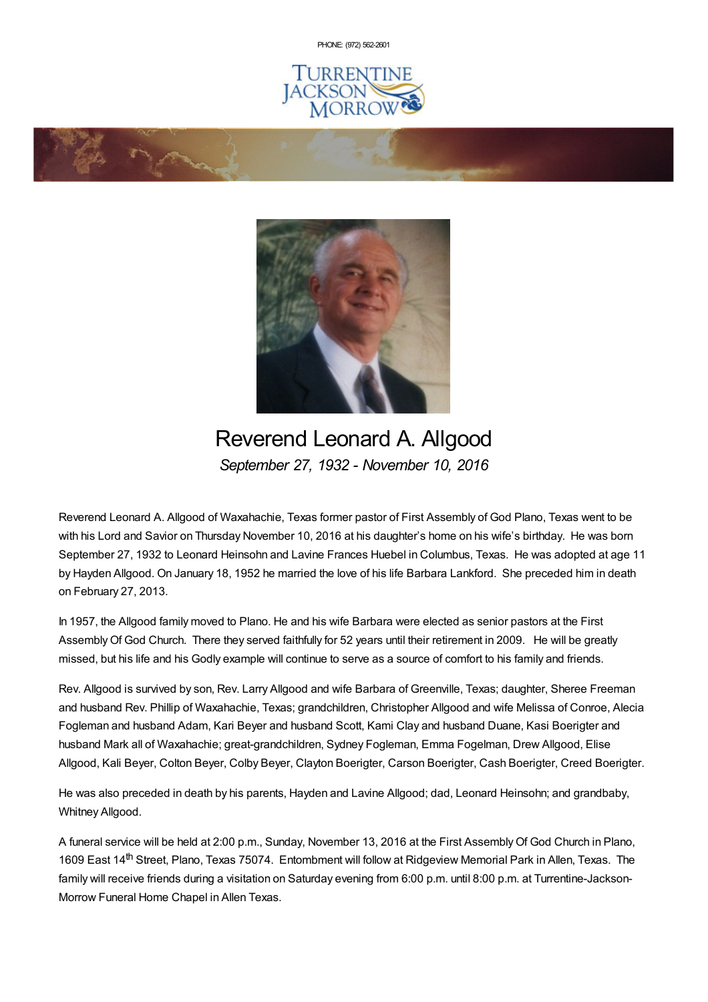PHONE: (972) [562-2601](tel:(972) 562-2601)



**Contraction Contraction Contraction Contraction Contraction Contraction Contraction Contraction Contraction** 



# Reverend Leonard A. Allgood *September 27, 1932 - November 10, 2016*

Reverend Leonard A. Allgood of Waxahachie, Texas former pastor of First Assembly of God Plano, Texas went to be with his Lord and Savior on Thursday November 10, 2016 at his daughter's home on his wife's birthday. He was born September 27, 1932 to Leonard Heinsohn and Lavine Frances Huebel in Columbus, Texas. He was adopted at age 11 by Hayden Allgood. On January 18, 1952 he married the love of his life Barbara Lankford. She preceded him in death on February 27, 2013.

In 1957, the Allgood family moved to Plano. He and his wife Barbara were elected as senior pastors at the First Assembly Of God Church. There they served faithfully for 52 years until their retirement in 2009. He will be greatly missed, but his life and his Godly example will continue to serve as a source of comfort to his family and friends.

Rev. Allgood is survived by son, Rev. Larry Allgood and wife Barbara of Greenville, Texas; daughter, Sheree Freeman and husband Rev. Phillip of Waxahachie, Texas; grandchildren, Christopher Allgood and wife Melissa of Conroe, Alecia Fogleman and husband Adam, Kari Beyer and husband Scott, Kami Clay and husband Duane, Kasi Boerigter and husband Mark all of Waxahachie; great-grandchildren, Sydney Fogleman, Emma Fogelman, Drew Allgood, Elise Allgood, Kali Beyer, Colton Beyer, Colby Beyer, Clayton Boerigter, Carson Boerigter, Cash Boerigter, Creed Boerigter.

He was also preceded in death by his parents, Hayden and Lavine Allgood; dad, Leonard Heinsohn; and grandbaby, Whitney Allgood.

A funeral service will be held at 2:00 p.m., Sunday, November 13, 2016 at the First Assembly Of God Church in Plano, 1609 East 14<sup>th</sup> Street, Plano, Texas 75074. Entombment will follow at Ridgeview Memorial Park in Allen, Texas. The family will receive friends during a visitation on Saturday evening from 6:00 p.m. until 8:00 p.m. at Turrentine-Jackson-Morrow Funeral Home Chapel in Allen Texas.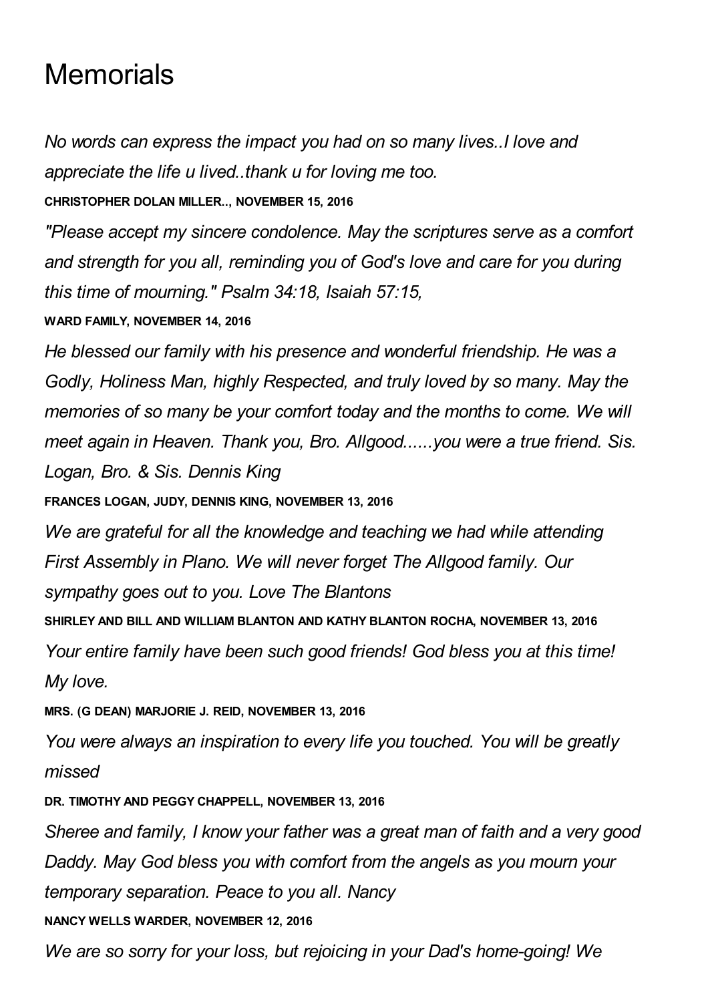# **Memorials**

*No words can express the impact you had on so many lives..I love and appreciate the life u lived..thank u for loving me too.*

**CHRISTOPHER DOLAN MILLER.., NOVEMBER 15, 2016**

*"Please accept my sincere condolence. May the scriptures serve as a comfort and strength for you all, reminding you of God's love and care for you during this time of mourning." Psalm 34:18, Isaiah 57:15,*

**WARD FAMILY, NOVEMBER 14, 2016**

*He blessed our family with his presence and wonderful friendship. He was a Godly, Holiness Man, highly Respected, and truly loved by so many. May the memories of so many be your comfort today and the months to come. We will meet again in Heaven. Thank you, Bro. Allgood......you were a true friend. Sis. Logan, Bro. & Sis. Dennis King*

**FRANCES LOGAN, JUDY, DENNIS KING, NOVEMBER 13, 2016**

*We are grateful for all the knowledge and teaching we had while attending First Assembly in Plano. We will never forget The Allgood family. Our sympathy goes out to you. Love The Blantons*

**SHIRLEY AND BILL AND WILLIAM BLANTON AND KATHY BLANTON ROCHA, NOVEMBER 13, 2016**

*Your entire family have been such good friends! God bless you at this time! My love.*

**MRS. (G DEAN) MARJORIE J. REID, NOVEMBER 13, 2016**

*You were always an inspiration to every life you touched. You will be greatly missed*

**DR. TIMOTHY AND PEGGY CHAPPELL, NOVEMBER 13, 2016**

*Sheree and family, I know your father was a great man of faith and a very good Daddy. May God bless you with comfort from the angels as you mourn your temporary separation. Peace to you all. Nancy*

**NANCY WELLS WARDER, NOVEMBER 12, 2016**

*We are so sorry for your loss, but rejoicing in your Dad's home-going! We*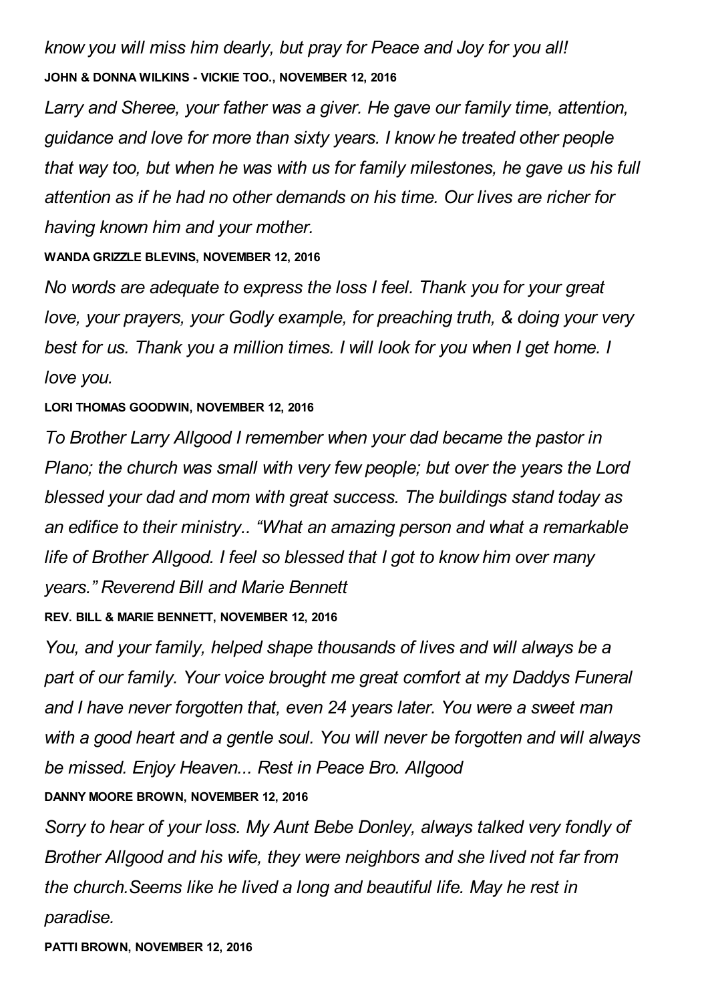*know you will miss him dearly, but pray for Peace and Joy for you all!* **JOHN & DONNA WILKINS - VICKIE TOO., NOVEMBER 12, 2016**

*Larry and Sheree, your father was a giver. He gave our family time, attention, guidance and love for more than sixty years. I know he treated other people that way too, but when he was with us for family milestones, he gave us his full attention as if he had no other demands on his time. Our lives are richer for having known him and your mother.*

#### **WANDA GRIZZLE BLEVINS, NOVEMBER 12, 2016**

*No words are adequate to express the loss I feel. Thank you for your great love, your prayers, your Godly example, for preaching truth, & doing your very best for us. Thank you a million times. I will look for you when I get home. I love you.*

#### **LORI THOMAS GOODWIN, NOVEMBER 12, 2016**

*To Brother Larry Allgood I remember when your dad became the pastor in Plano; the church was small with very few people; but over the years the Lord blessed your dad and mom with great success. The buildings stand today as an edifice to their ministry.. "What an amazing person and what a remarkable life of Brother Allgood. I feel so blessed that I got to know him over many years." Reverend Bill and Marie Bennett*

**REV. BILL & MARIE BENNETT, NOVEMBER 12, 2016**

*You, and your family, helped shape thousands of lives and will always be a part of our family. Your voice brought me great comfort at my Daddys Funeral and I have never forgotten that, even 24 years later. You were a sweet man with a good heart and a gentle soul. You will never be forgotten and will always be missed. Enjoy Heaven... Rest in Peace Bro. Allgood*

### **DANNY MOORE BROWN, NOVEMBER 12, 2016**

*Sorry to hear of your loss. My Aunt Bebe Donley, always talked very fondly of Brother Allgood and his wife, they were neighbors and she lived not far from the church.Seems like he lived a long and beautiful life. May he rest in paradise.*

**PATTI BROWN, NOVEMBER 12, 2016**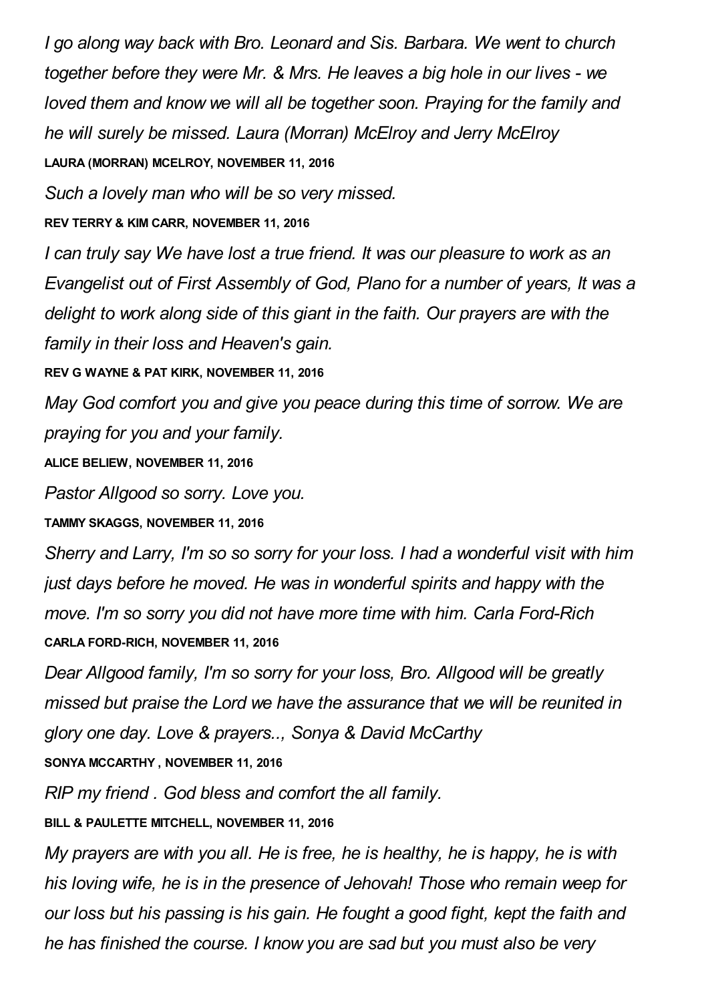*I go along way back with Bro. Leonard and Sis. Barbara. We went to church together before they were Mr. & Mrs. He leaves a big hole in our lives - we loved them and know we will all be together soon. Praying for the family and he will surely be missed. Laura (Morran) McElroy and Jerry McElroy* **LAURA (MORRAN) MCELROY, NOVEMBER 11, 2016**

*Such a lovely man who will be so very missed.*

**REV TERRY & KIM CARR, NOVEMBER 11, 2016**

*I can truly say We have lost a true friend. It was our pleasure to work as an Evangelist out of First Assembly of God, Plano for a number of years, It was a delight to work along side of this giant in the faith. Our prayers are with the family in their loss and Heaven's gain.*

**REV G WAYNE & PAT KIRK, NOVEMBER 11, 2016**

*May God comfort you and give you peace during this time of sorrow. We are praying for you and your family.*

**ALICE BELIEW, NOVEMBER 11, 2016**

*Pastor Allgood so sorry. Love you.*

**TAMMY SKAGGS, NOVEMBER 11, 2016**

*Sherry and Larry, I'm so so sorry for your loss. I had a wonderful visit with him just days before he moved. He was in wonderful spirits and happy with the move. I'm so sorry you did not have more time with him. Carla Ford-Rich* **CARLA FORD-RICH, NOVEMBER 11, 2016**

*Dear Allgood family, I'm so sorry for your loss, Bro. Allgood will be greatly missed but praise the Lord we have the assurance that we will be reunited in glory one day. Love & prayers.., Sonya & David McCarthy* **SONYA MCCARTHY , NOVEMBER 11, 2016**

*RIP my friend . God bless and comfort the all family.*

**BILL & PAULETTE MITCHELL, NOVEMBER 11, 2016**

*My prayers are with you all. He is free, he is healthy, he is happy, he is with his loving wife, he is in the presence of Jehovah! Those who remain weep for our loss but his passing is his gain. He fought a good fight, kept the faith and he has finished the course. I know you are sad but you must also be very*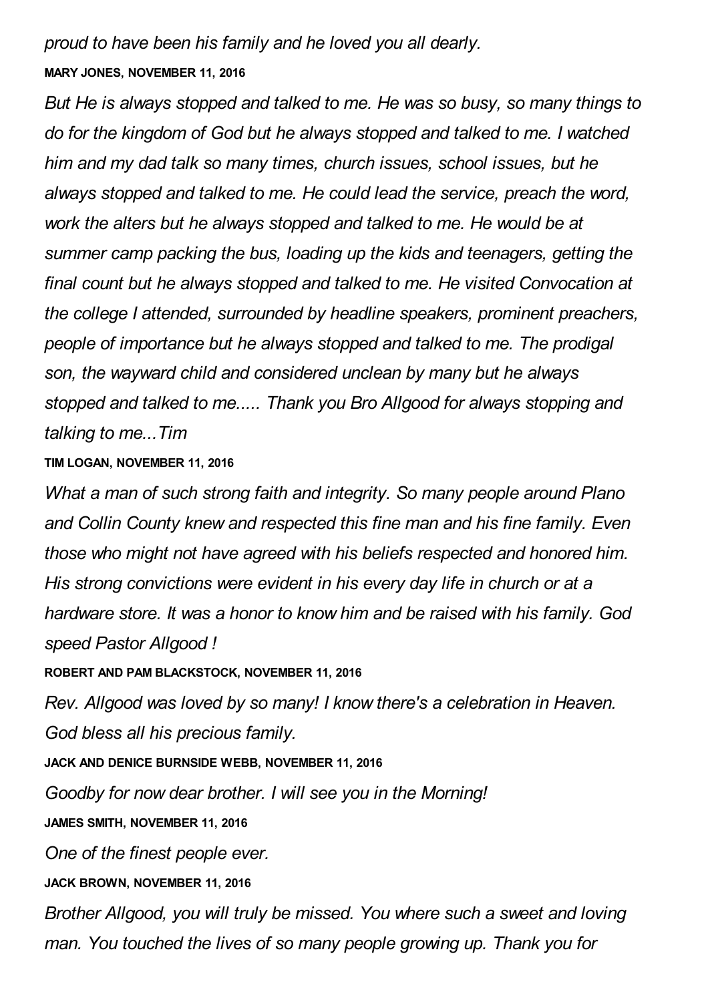## *proud to have been his family and he loved you all dearly.* **MARY JONES, NOVEMBER 11, 2016**

*But He is always stopped and talked to me. He was so busy, so many things to do for the kingdom of God but he always stopped and talked to me. I watched him and my dad talk so many times, church issues, school issues, but he always stopped and talked to me. He could lead the service, preach the word, work the alters but he always stopped and talked to me. He would be at summer camp packing the bus, loading up the kids and teenagers, getting the final count but he always stopped and talked to me. He visited Convocation at the college I attended, surrounded by headline speakers, prominent preachers, people of importance but he always stopped and talked to me. The prodigal son, the wayward child and considered unclean by many but he always stopped and talked to me..... Thank you Bro Allgood for always stopping and talking to me...Tim*

### **TIM LOGAN, NOVEMBER 11, 2016**

*What a man of such strong faith and integrity. So many people around Plano and Collin County knew and respected this fine man and his fine family. Even those who might not have agreed with his beliefs respected and honored him. His strong convictions were evident in his every day life in church or at a hardware store. It was a honor to know him and be raised with his family. God speed Pastor Allgood !*

**ROBERT AND PAM BLACKSTOCK, NOVEMBER 11, 2016**

*Rev. Allgood was loved by so many! I know there's a celebration in Heaven. God bless all his precious family.*

**JACK AND DENICE BURNSIDE WEBB, NOVEMBER 11, 2016**

*Goodby for now dear brother. I will see you in the Morning!*

**JAMES SMITH, NOVEMBER 11, 2016**

*One of the finest people ever.*

**JACK BROWN, NOVEMBER 11, 2016**

*Brother Allgood, you will truly be missed. You where such a sweet and loving man. You touched the lives of so many people growing up. Thank you for*